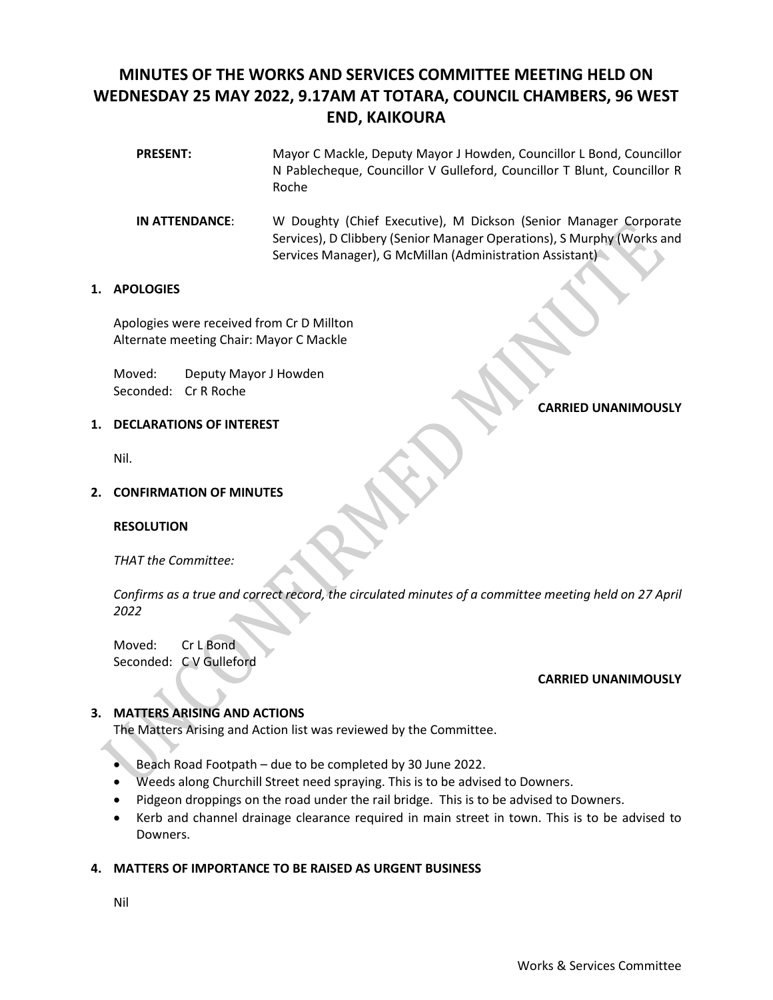# **MINUTES OF THE WORKS AND SERVICES COMMITTEE MEETING HELD ON WEDNESDAY 25 MAY 2022, 9.17AM AT TOTARA, COUNCIL CHAMBERS, 96 WEST END, KAIKOURA**

- **PRESENT:** Mayor C Mackle, Deputy Mayor J Howden, Councillor L Bond, Councillor N Pablecheque, Councillor V Gulleford, Councillor T Blunt, Councillor R Roche
- **IN ATTENDANCE**: W Doughty (Chief Executive), M Dickson (Senior Manager Corporate Services), D Clibbery (Senior Manager Operations), S Murphy (Works and Services Manager), G McMillan (Administration Assistant)

# **1. APOLOGIES**

Apologies were received from Cr D Millton Alternate meeting Chair: Mayor C Mackle

Moved: Deputy Mayor J Howden Seconded: Cr R Roche

# **CARRIED UNANIMOUSLY**

# **1. DECLARATIONS OF INTEREST**

Nil.

# **2. CONFIRMATION OF MINUTES**

# **RESOLUTION**

*THAT the Committee:* 

*Confirms as a true and correct record, the circulated minutes of a committee meeting held on 27 April 2022*

Moved: Cr L Bond Seconded: C V Gulleford

# **CARRIED UNANIMOUSLY**

# **3. MATTERS ARISING AND ACTIONS**

The Matters Arising and Action list was reviewed by the Committee.

- Beach Road Footpath due to be completed by 30 June 2022.
- Weeds along Churchill Street need spraying. This is to be advised to Downers.
- Pidgeon droppings on the road under the rail bridge. This is to be advised to Downers.
- Kerb and channel drainage clearance required in main street in town. This is to be advised to Downers.

# **4. MATTERS OF IMPORTANCE TO BE RAISED AS URGENT BUSINESS**

Nil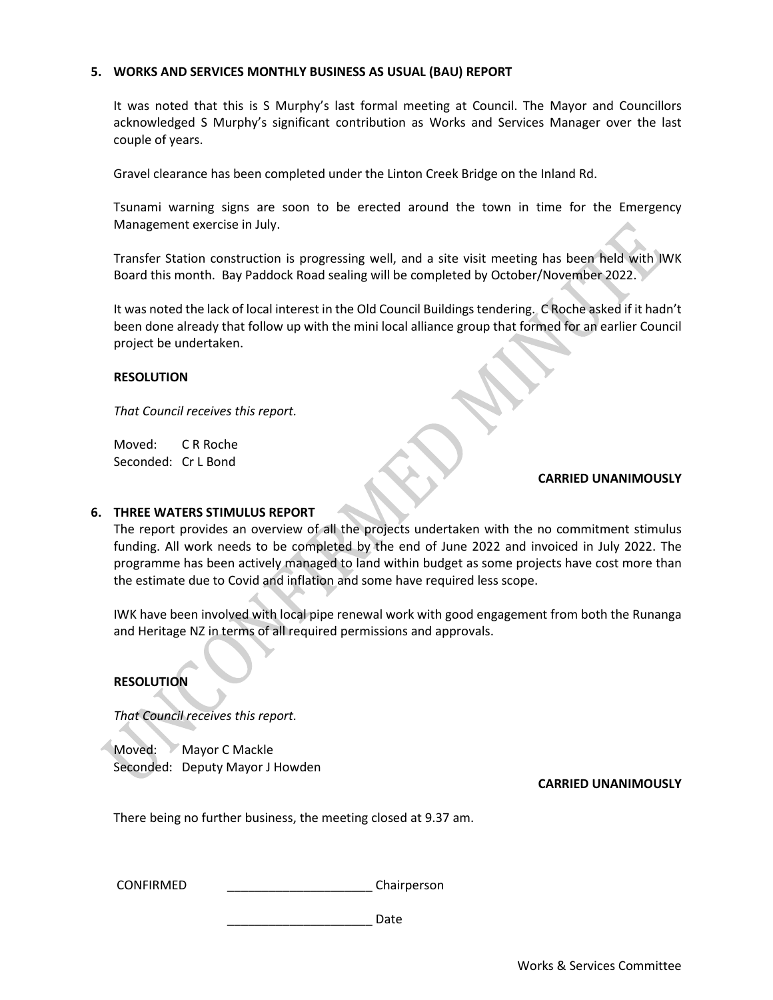# **5. WORKS AND SERVICES MONTHLY BUSINESS AS USUAL (BAU) REPORT**

It was noted that this is S Murphy's last formal meeting at Council. The Mayor and Councillors acknowledged S Murphy's significant contribution as Works and Services Manager over the last couple of years.

Gravel clearance has been completed under the Linton Creek Bridge on the Inland Rd.

Tsunami warning signs are soon to be erected around the town in time for the Emergency Management exercise in July.

Transfer Station construction is progressing well, and a site visit meeting has been held with IWK Board this month. Bay Paddock Road sealing will be completed by October/November 2022.

It was noted the lack of local interest in the Old Council Buildings tendering. C Roche asked if it hadn't been done already that follow up with the mini local alliance group that formed for an earlier Council project be undertaken.

# **RESOLUTION**

*That Council receives this report.* 

Moved: C R Roche Seconded: Cr L Bond

#### **CARRIED UNANIMOUSLY**

#### **6. THREE WATERS STIMULUS REPORT**

The report provides an overview of all the projects undertaken with the no commitment stimulus funding. All work needs to be completed by the end of June 2022 and invoiced in July 2022. The programme has been actively managed to land within budget as some projects have cost more than the estimate due to Covid and inflation and some have required less scope.

IWK have been involved with local pipe renewal work with good engagement from both the Runanga and Heritage NZ in terms of all required permissions and approvals.

# **RESOLUTION**

*That Council receives this report.* 

Moved: Mayor C Mackle Seconded: Deputy Mayor J Howden

**CARRIED UNANIMOUSLY**

There being no further business, the meeting closed at 9.37 am.

CONFIRMED \_\_\_\_\_\_\_\_\_\_\_\_\_\_\_\_\_\_\_\_\_ Chairperson

\_\_\_\_\_\_\_\_\_\_\_\_\_\_\_\_\_\_\_\_\_ Date